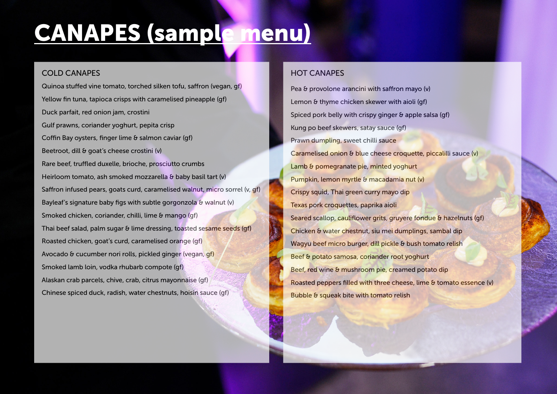# CANAPES (sample menu)

## COLD CANAPES

Quinoa stuffed vine tomato, torched silken tofu, saffron (vegan, gf) Yellow fin tuna, tapioca crisps with caramelised pineapple (gf) Duck parfait, red onion jam, crostini Gulf prawns, coriander yoghurt, pepita crisp Coffin Bay oysters, finger lime & salmon caviar (gf) Beetroot, dill & goat's cheese crostini (v) Rare beef, truffled duxelle, brioche, prosciutto crumbs Heirloom tomato, ash smoked mozzarella & baby basil tart (v) Saffron infused pears, goats curd, caramelised walnut, micro sorrel (v, gf) Bayleaf's signature baby figs with subtle gorgonzola  $\delta$  walnut (v) Smoked chicken, coriander, chilli, lime & mango (gf) Thai beef salad, palm sugar & lime dressing, toasted sesame seeds (gf) Roasted chicken, goat's curd, caramelised orange (gf) Avocado & cucumber nori rolls, pickled ginger (vegan, gf) Smoked lamb loin, vodka rhubarb compote (gf) Alaskan crab parcels, chive, crab, citrus mayonnaise (gf) Chinese spiced duck, radish, water chestnuts, hoisin sauce (gf)

# HOT CANAPES

Pea & provolone arancini with saffron mayo (v) Lemon & thyme chicken skewer with aioli (qf) Spiced pork belly with crispy ginger & apple salsa (gf) Kung po beef skewers, satay sauce (gf) Prawn dumpling, sweet chilli sauce Caramelised onion & blue cheese croquette, piccalilli sauce (v) Lamb & pomegranate pie, minted yoghurt Pumpkin, lemon myrtle & macadamia nut (v) Crispy squid, Thai green curry mayo dip Texas pork croquettes, paprika aioli Seared scallop, cauliflower grits, gruyere fondue & hazelnuts (gf) Chicken & water chestnut, siu mei dumplings, sambal dip Wagyu beef micro burger, dill pickle & bush tomato relish Beef & potato samosa, coriander root yoghurt Beef, red wine & mushroom pie, creamed potato dip Roasted peppers filled with three cheese, lime & tomato essence (v) Bubble & squeak bite with tomato relish